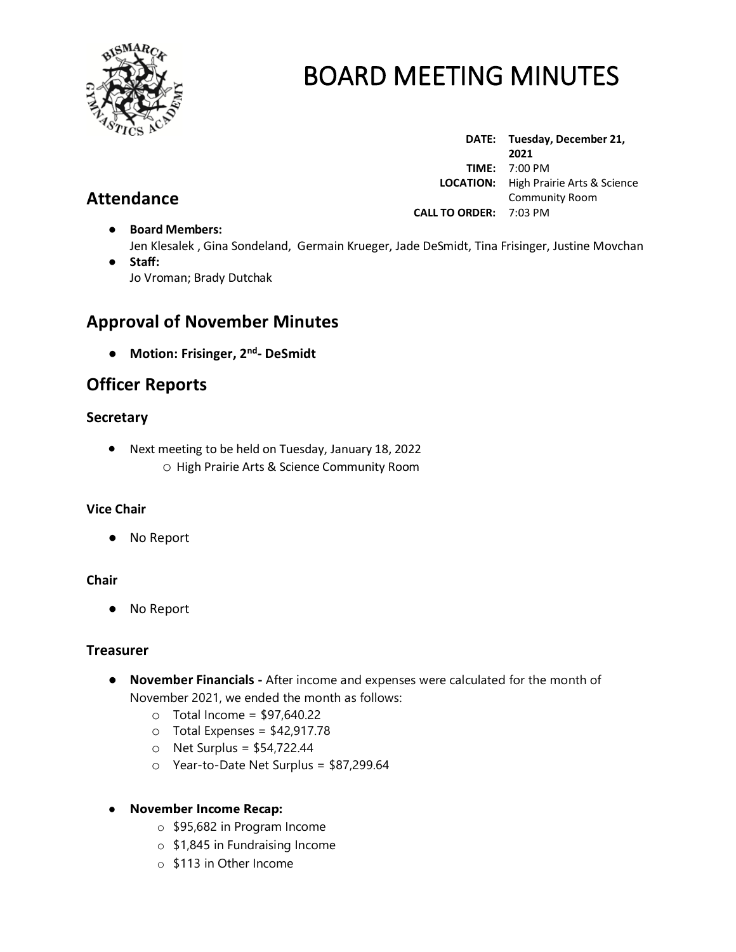

**Attendance**

# BOARD MEETING MINUTES

**DATE: Tuesday, December 21, 2021 TIME:** 7:00 PM  **LOCATION:** High Prairie Arts & Science Community Room **CALL TO ORDER:** 7:03 PM

- **Board Members:** Jen Klesalek , Gina Sondeland, Germain Krueger, Jade DeSmidt, Tina Frisinger, Justine Movchan
- **Staff:**  Jo Vroman; Brady Dutchak

# **Approval of November Minutes**

● **Motion: Frisinger, 2 nd - DeSmidt**

# **Officer Reports**

## **Secretary**

• Next meeting to be held on Tuesday, January 18, 2022 o High Prairie Arts & Science Community Room

## **Vice Chair**

● No Report

## **Chair**

● No Report

## **Treasurer**

- **November Financials -** After income and expenses were calculated for the month of November 2021, we ended the month as follows:
	- $\circ$  Total Income = \$97,640.22
	- $\circ$  Total Expenses = \$42,917.78
	- $\circ$  Net Surplus = \$54,722.44
	- o Year-to-Date Net Surplus = \$87,299.64

## ● **November Income Recap:**

- o \$95,682 in Program Income
- o \$1,845 in Fundraising Income
- o \$113 in Other Income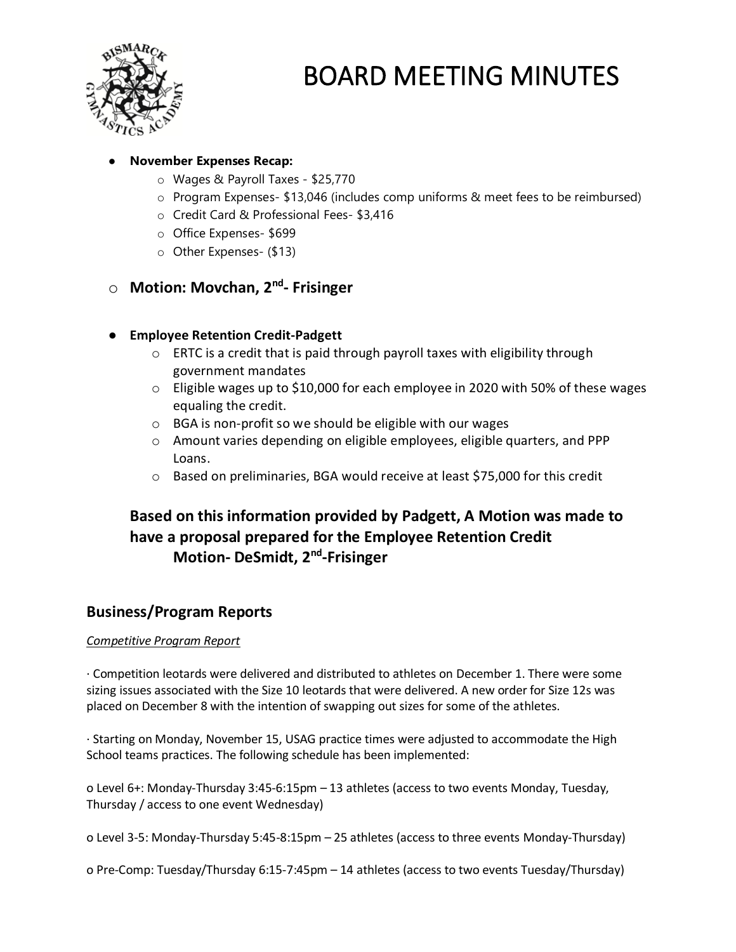

### ● **November Expenses Recap:**

- o Wages & Payroll Taxes \$25,770
- o Program Expenses- \$13,046 (includes comp uniforms & meet fees to be reimbursed)
- o Credit Card & Professional Fees- \$3,416
- o Office Expenses- \$699
- o Other Expenses- (\$13)

## o **Motion: Movchan, 2nd - Frisinger**

## ● **Employee Retention Credit-Padgett**

- o ERTC is a credit that is paid through payroll taxes with eligibility through government mandates
- o Eligible wages up to \$10,000 for each employee in 2020 with 50% of these wages equaling the credit.
- o BGA is non-profit so we should be eligible with our wages
- $\circ$  Amount varies depending on eligible employees, eligible quarters, and PPP Loans.
- $\circ$  Based on preliminaries, BGA would receive at least \$75,000 for this credit

# **Based on this information provided by Padgett, A Motion was made to have a proposal prepared for the Employee Retention Credit Motion- DeSmidt, 2<sup>nd</sup>-Frisinger**

## **Business/Program Reports**

### *Competitive Program Report*

· Competition leotards were delivered and distributed to athletes on December 1. There were some sizing issues associated with the Size 10 leotards that were delivered. A new order for Size 12s was placed on December 8 with the intention of swapping out sizes for some of the athletes.

· Starting on Monday, November 15, USAG practice times were adjusted to accommodate the High School teams practices. The following schedule has been implemented:

o Level 6+: Monday-Thursday 3:45-6:15pm – 13 athletes (access to two events Monday, Tuesday, Thursday / access to one event Wednesday)

o Level 3-5: Monday-Thursday 5:45-8:15pm – 25 athletes (access to three events Monday-Thursday)

o Pre-Comp: Tuesday/Thursday 6:15-7:45pm – 14 athletes (access to two events Tuesday/Thursday)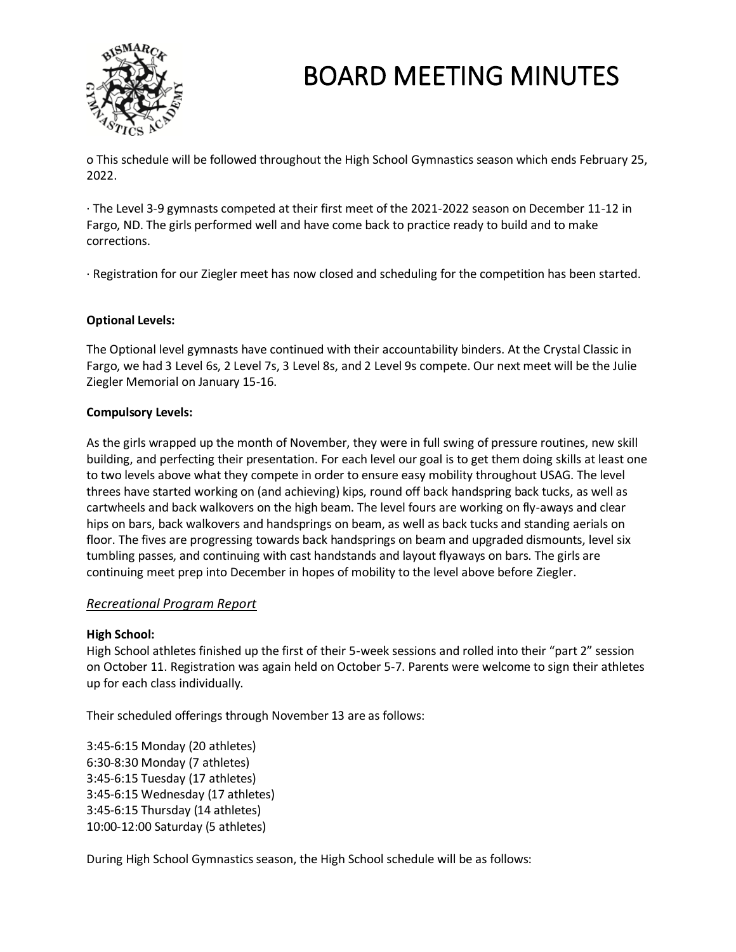

o This schedule will be followed throughout the High School Gymnastics season which ends February 25, 2022.

· The Level 3-9 gymnasts competed at their first meet of the 2021-2022 season on December 11-12 in Fargo, ND. The girls performed well and have come back to practice ready to build and to make corrections.

· Registration for our Ziegler meet has now closed and scheduling for the competition has been started.

#### **Optional Levels:**

The Optional level gymnasts have continued with their accountability binders. At the Crystal Classic in Fargo, we had 3 Level 6s, 2 Level 7s, 3 Level 8s, and 2 Level 9s compete. Our next meet will be the Julie Ziegler Memorial on January 15-16.

#### **Compulsory Levels:**

As the girls wrapped up the month of November, they were in full swing of pressure routines, new skill building, and perfecting their presentation. For each level our goal is to get them doing skills at least one to two levels above what they compete in order to ensure easy mobility throughout USAG. The level threes have started working on (and achieving) kips, round off back handspring back tucks, as well as cartwheels and back walkovers on the high beam. The level fours are working on fly-aways and clear hips on bars, back walkovers and handsprings on beam, as well as back tucks and standing aerials on floor. The fives are progressing towards back handsprings on beam and upgraded dismounts, level six tumbling passes, and continuing with cast handstands and layout flyaways on bars. The girls are continuing meet prep into December in hopes of mobility to the level above before Ziegler.

### *Recreational Program Report*

#### **High School:**

High School athletes finished up the first of their 5-week sessions and rolled into their "part 2" session on October 11. Registration was again held on October 5-7. Parents were welcome to sign their athletes up for each class individually.

Their scheduled offerings through November 13 are as follows:

3:45-6:15 Monday (20 athletes) 6:30-8:30 Monday (7 athletes) 3:45-6:15 Tuesday (17 athletes) 3:45-6:15 Wednesday (17 athletes) 3:45-6:15 Thursday (14 athletes) 10:00-12:00 Saturday (5 athletes)

During High School Gymnastics season, the High School schedule will be as follows: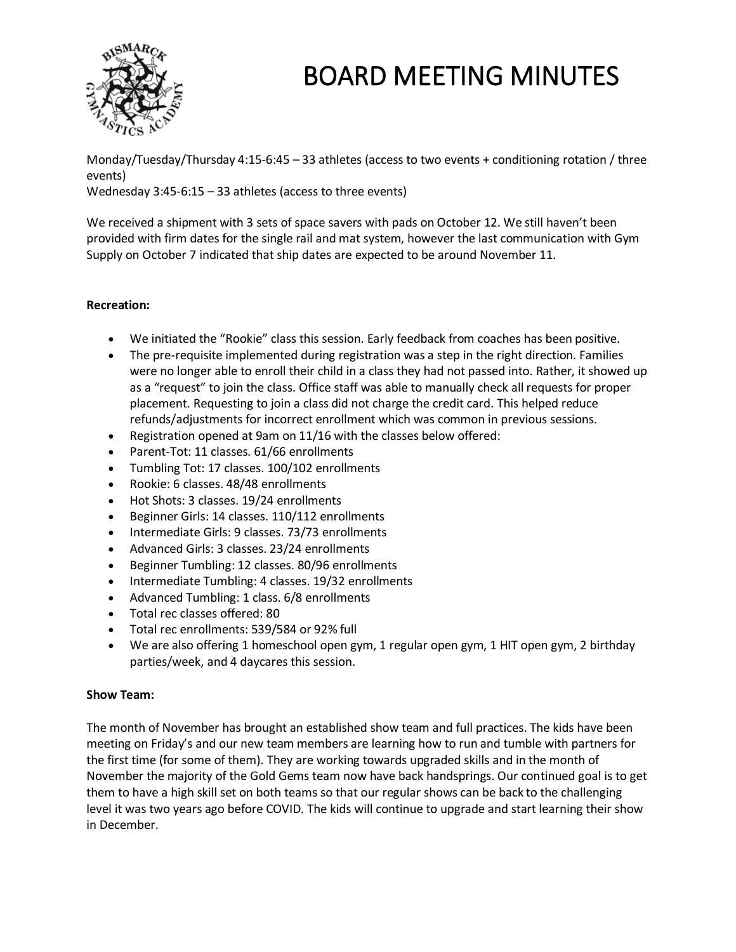

Monday/Tuesday/Thursday 4:15-6:45 – 33 athletes (access to two events + conditioning rotation / three events)

Wednesday 3:45-6:15 – 33 athletes (access to three events)

We received a shipment with 3 sets of space savers with pads on October 12. We still haven't been provided with firm dates for the single rail and mat system, however the last communication with Gym Supply on October 7 indicated that ship dates are expected to be around November 11.

### **Recreation:**

- We initiated the "Rookie" class this session. Early feedback from coaches has been positive.
- The pre-requisite implemented during registration was a step in the right direction. Families were no longer able to enroll their child in a class they had not passed into. Rather, it showed up as a "request" to join the class. Office staff was able to manually check all requests for proper placement. Requesting to join a class did not charge the credit card. This helped reduce refunds/adjustments for incorrect enrollment which was common in previous sessions.
- Registration opened at 9am on 11/16 with the classes below offered:
- Parent-Tot: 11 classes. 61/66 enrollments
- Tumbling Tot: 17 classes. 100/102 enrollments
- Rookie: 6 classes. 48/48 enrollments
- Hot Shots: 3 classes. 19/24 enrollments
- Beginner Girls: 14 classes. 110/112 enrollments
- Intermediate Girls: 9 classes. 73/73 enrollments
- Advanced Girls: 3 classes. 23/24 enrollments
- Beginner Tumbling: 12 classes. 80/96 enrollments
- Intermediate Tumbling: 4 classes. 19/32 enrollments
- Advanced Tumbling: 1 class. 6/8 enrollments
- Total rec classes offered: 80
- Total rec enrollments: 539/584 or 92% full
- We are also offering 1 homeschool open gym, 1 regular open gym, 1 HIT open gym, 2 birthday parties/week, and 4 daycares this session.

### **Show Team:**

The month of November has brought an established show team and full practices. The kids have been meeting on Friday's and our new team members are learning how to run and tumble with partners for the first time (for some of them). They are working towards upgraded skills and in the month of November the majority of the Gold Gems team now have back handsprings. Our continued goal is to get them to have a high skill set on both teams so that our regular shows can be back to the challenging level it was two years ago before COVID. The kids will continue to upgrade and start learning their show in December.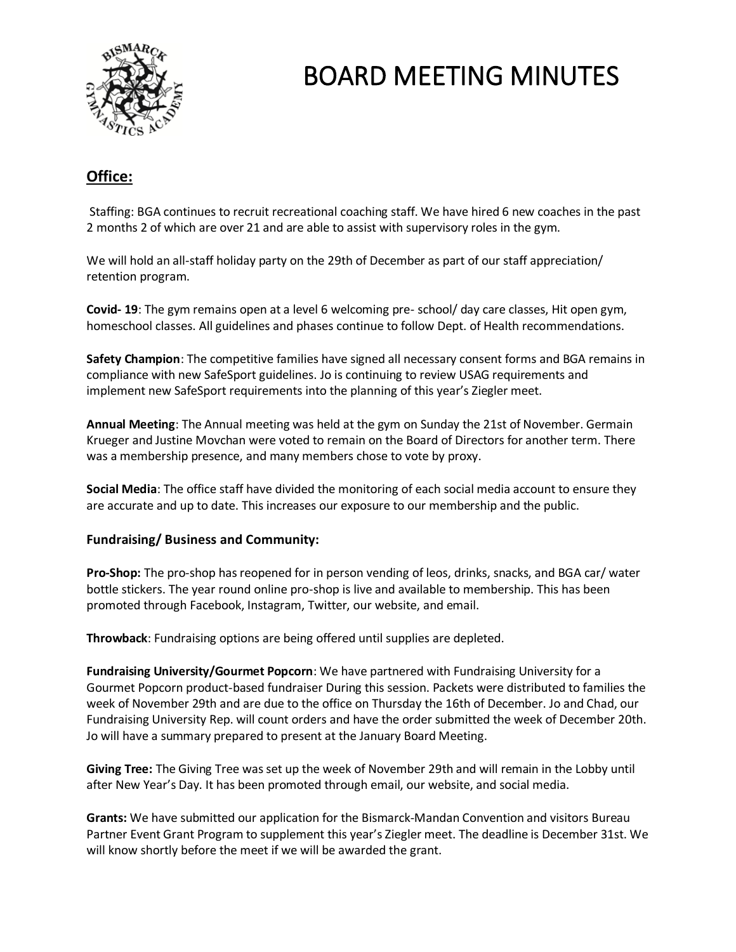

# **Office:**

Staffing: BGA continues to recruit recreational coaching staff. We have hired 6 new coaches in the past 2 months 2 of which are over 21 and are able to assist with supervisory roles in the gym.

We will hold an all-staff holiday party on the 29th of December as part of our staff appreciation/ retention program.

**Covid- 19**: The gym remains open at a level 6 welcoming pre- school/ day care classes, Hit open gym, homeschool classes. All guidelines and phases continue to follow Dept. of Health recommendations.

**Safety Champion**: The competitive families have signed all necessary consent forms and BGA remains in compliance with new SafeSport guidelines. Jo is continuing to review USAG requirements and implement new SafeSport requirements into the planning of this year's Ziegler meet.

**Annual Meeting**: The Annual meeting was held at the gym on Sunday the 21st of November. Germain Krueger and Justine Movchan were voted to remain on the Board of Directors for another term. There was a membership presence, and many members chose to vote by proxy.

**Social Media**: The office staff have divided the monitoring of each social media account to ensure they are accurate and up to date. This increases our exposure to our membership and the public.

### **Fundraising/ Business and Community:**

**Pro-Shop:** The pro-shop has reopened for in person vending of leos, drinks, snacks, and BGA car/ water bottle stickers. The year round online pro-shop is live and available to membership. This has been promoted through Facebook, Instagram, Twitter, our website, and email.

**Throwback**: Fundraising options are being offered until supplies are depleted.

**Fundraising University/Gourmet Popcorn**: We have partnered with Fundraising University for a Gourmet Popcorn product-based fundraiser During this session. Packets were distributed to families the week of November 29th and are due to the office on Thursday the 16th of December. Jo and Chad, our Fundraising University Rep. will count orders and have the order submitted the week of December 20th. Jo will have a summary prepared to present at the January Board Meeting.

**Giving Tree:** The Giving Tree was set up the week of November 29th and will remain in the Lobby until after New Year's Day. It has been promoted through email, our website, and social media.

**Grants:** We have submitted our application for the Bismarck-Mandan Convention and visitors Bureau Partner Event Grant Program to supplement this year's Ziegler meet. The deadline is December 31st. We will know shortly before the meet if we will be awarded the grant.